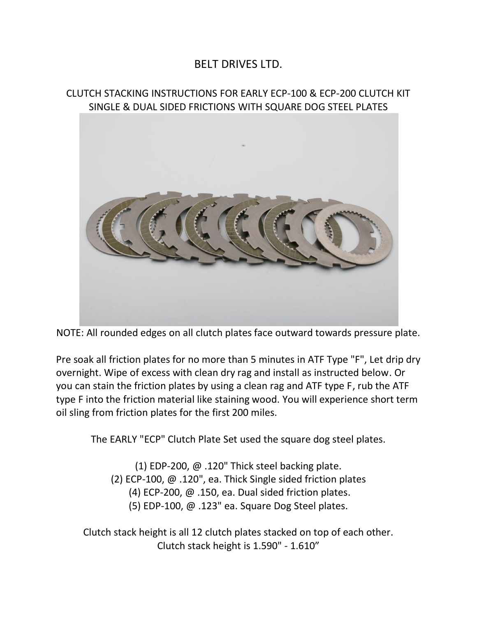## BELT DRIVES LTD.

## CLUTCH STACKING INSTRUCTIONS FOR EARLY ECP-100 & ECP-200 CLUTCH KIT SINGLE & DUAL SIDED FRICTIONS WITH SQUARE DOG STEEL PLATES



NOTE: All rounded edges on all clutch plates face outward towards pressure plate.

Pre soak all friction plates for no more than 5 minutes in ATF Type "F", Let drip dry overnight. Wipe of excess with clean dry rag and install as instructed below. Or you can stain the friction plates by using a clean rag and ATF type F, rub the ATF type F into the friction material like staining wood. You will experience short term oil sling from friction plates for the first 200 miles.

The EARLY "ECP" Clutch Plate Set used the square dog steel plates.

(1) EDP-200, @ .120" Thick steel backing plate. (2) ECP-100, @ .120", ea. Thick Single sided friction plates (4) ECP-200, @ .150, ea. Dual sided friction plates. (5) EDP-100, @ .123" ea. Square Dog Steel plates.

Clutch stack height is all 12 clutch plates stacked on top of each other. Clutch stack height is 1.590" - 1.610"